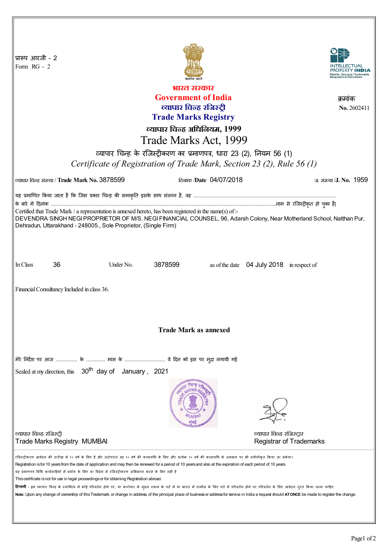| प्रारूप आरजी - 2<br>Form RG - 2                                                                                                                                                                                                                                                                                       |                                               |           |         |                                       |                                           |                                |  |
|-----------------------------------------------------------------------------------------------------------------------------------------------------------------------------------------------------------------------------------------------------------------------------------------------------------------------|-----------------------------------------------|-----------|---------|---------------------------------------|-------------------------------------------|--------------------------------|--|
| भारत सरकार                                                                                                                                                                                                                                                                                                            |                                               |           |         |                                       |                                           |                                |  |
| <b>Government of India</b><br>क्रमाक                                                                                                                                                                                                                                                                                  |                                               |           |         |                                       |                                           |                                |  |
| व्यापार चिन्ह रजिस्ट्री<br>No. 2602411                                                                                                                                                                                                                                                                                |                                               |           |         |                                       |                                           |                                |  |
| <b>Trade Marks Registry</b>                                                                                                                                                                                                                                                                                           |                                               |           |         |                                       |                                           |                                |  |
| व्यापार चिन्ह अधिनियम, 1999                                                                                                                                                                                                                                                                                           |                                               |           |         |                                       |                                           |                                |  |
| Trade Marks Act, 1999                                                                                                                                                                                                                                                                                                 |                                               |           |         |                                       |                                           |                                |  |
|                                                                                                                                                                                                                                                                                                                       |                                               |           |         |                                       |                                           |                                |  |
| व्यापार चिन्ह के रजिस्ट्रीकरण का प्रमाणपत्र, धारा 23 (2), नियम 56 (1)                                                                                                                                                                                                                                                 |                                               |           |         |                                       |                                           |                                |  |
| Certificate of Registration of Trade Mark, Section 23 (2), Rule 56 (1)                                                                                                                                                                                                                                                |                                               |           |         |                                       |                                           |                                |  |
|                                                                                                                                                                                                                                                                                                                       | ल्यापार चिन्ह संख्या / Trade Mark No. 3878599 |           |         | <del>ண</del> ே <i>Date</i> 04/07/2018 |                                           | ज संख्या /J. No. 1959          |  |
| यह प्रमाणित किया जाता है कि जिस प्रकार चिन्ह की समाकृति इसके साथ संलग्न है, वह …………………………………………………………………………………                                                                                                                                                                                                        |                                               |           |         |                                       |                                           |                                |  |
|                                                                                                                                                                                                                                                                                                                       |                                               |           |         |                                       |                                           |                                |  |
| Certified that Trade Mark / a representation is annexed hereto, has been registered in the name(s) of :-<br>DEVENDRA SINGH NEGI PROPRIETOR OF M/S. NEGI FINANCIAL COUNSEL, 96, Adarsh Colony, Near Motherland School, Natthan Pur,                                                                                    |                                               |           |         |                                       |                                           |                                |  |
| Dehradun, Uttarakhand - 248005., Sole Proprietor, (Single Firm)                                                                                                                                                                                                                                                       |                                               |           |         |                                       |                                           |                                |  |
|                                                                                                                                                                                                                                                                                                                       |                                               |           |         |                                       |                                           |                                |  |
|                                                                                                                                                                                                                                                                                                                       |                                               |           |         |                                       |                                           |                                |  |
|                                                                                                                                                                                                                                                                                                                       |                                               |           |         |                                       |                                           |                                |  |
| In Class                                                                                                                                                                                                                                                                                                              | 36                                            | Under No. | 3878599 |                                       | as of the date 04 July 2018 in respect of |                                |  |
| Financial Consultancy Included in class 36.                                                                                                                                                                                                                                                                           |                                               |           |         |                                       |                                           |                                |  |
|                                                                                                                                                                                                                                                                                                                       |                                               |           |         |                                       |                                           |                                |  |
|                                                                                                                                                                                                                                                                                                                       |                                               |           |         |                                       |                                           |                                |  |
|                                                                                                                                                                                                                                                                                                                       |                                               |           |         |                                       |                                           |                                |  |
| <b>Trade Mark as annexed</b>                                                                                                                                                                                                                                                                                          |                                               |           |         |                                       |                                           |                                |  |
|                                                                                                                                                                                                                                                                                                                       |                                               |           |         |                                       |                                           |                                |  |
|                                                                                                                                                                                                                                                                                                                       |                                               |           |         |                                       |                                           |                                |  |
| मेरे निर्देश पर आज  के  मास के  वे दिन को इस पर मुद्रा लगायी गई                                                                                                                                                                                                                                                       |                                               |           |         |                                       |                                           |                                |  |
| Sealed at my direction, this 30 <sup>th</sup> day of January, 2021                                                                                                                                                                                                                                                    |                                               |           |         |                                       |                                           |                                |  |
|                                                                                                                                                                                                                                                                                                                       |                                               |           |         |                                       |                                           |                                |  |
|                                                                                                                                                                                                                                                                                                                       |                                               |           |         |                                       |                                           |                                |  |
|                                                                                                                                                                                                                                                                                                                       |                                               |           |         |                                       |                                           |                                |  |
|                                                                                                                                                                                                                                                                                                                       |                                               |           |         |                                       |                                           |                                |  |
|                                                                                                                                                                                                                                                                                                                       |                                               |           |         |                                       |                                           |                                |  |
| व्यापार चिन्ह रजिस्ट्री                                                                                                                                                                                                                                                                                               |                                               |           |         |                                       | व्यापार चिन्ह रजिस्ट्रार                  |                                |  |
|                                                                                                                                                                                                                                                                                                                       | <b>Trade Marks Registry MUMBAI</b>            |           |         |                                       |                                           | <b>Registrar of Trademarks</b> |  |
|                                                                                                                                                                                                                                                                                                                       |                                               |           |         |                                       |                                           |                                |  |
| रजिस्ट्रीकरण आवेदन की तारीख से १० वर्ष के लिए है और तदोपरांत वह १० वर्ष की कालावधि के श्रेण के 19 कालावधि के अवसान पर भी नवीनीकृत किया जा सकेगा।<br>Registration is for 10 years from the date of application and may then be renewed for a period of 10 years and also at the expiration of each period of 10 years. |                                               |           |         |                                       |                                           |                                |  |
| यह प्रमाणपत्र विधि कार्यवाहियों में प्रयोग के लिए या विदेश में रजिस्ट्रीकरण अभिप्राप्त करने के लिए नहीं है                                                                                                                                                                                                            |                                               |           |         |                                       |                                           |                                |  |
| This certificate is not for use in legal proceedings or for obtaining Registration abroad.<br><b>टिप्पणी</b> - इस व्यापार चिन्ह के स्वामित्व में कोई परिवर्तन होने पर, या कारोवार के मुख्य स्थान के पार पत्र में पर पति होने पर परिवर्तन के लिए आवेदन तुरंत किया जाना चाहिए.                                          |                                               |           |         |                                       |                                           |                                |  |
| Note: Upon any change of ownership of this Trademark, or change in address, of the principal place of business or address for service in India a request should ATONCE be made to register the change.                                                                                                                |                                               |           |         |                                       |                                           |                                |  |
|                                                                                                                                                                                                                                                                                                                       |                                               |           |         |                                       |                                           |                                |  |
|                                                                                                                                                                                                                                                                                                                       |                                               |           |         |                                       |                                           |                                |  |

I